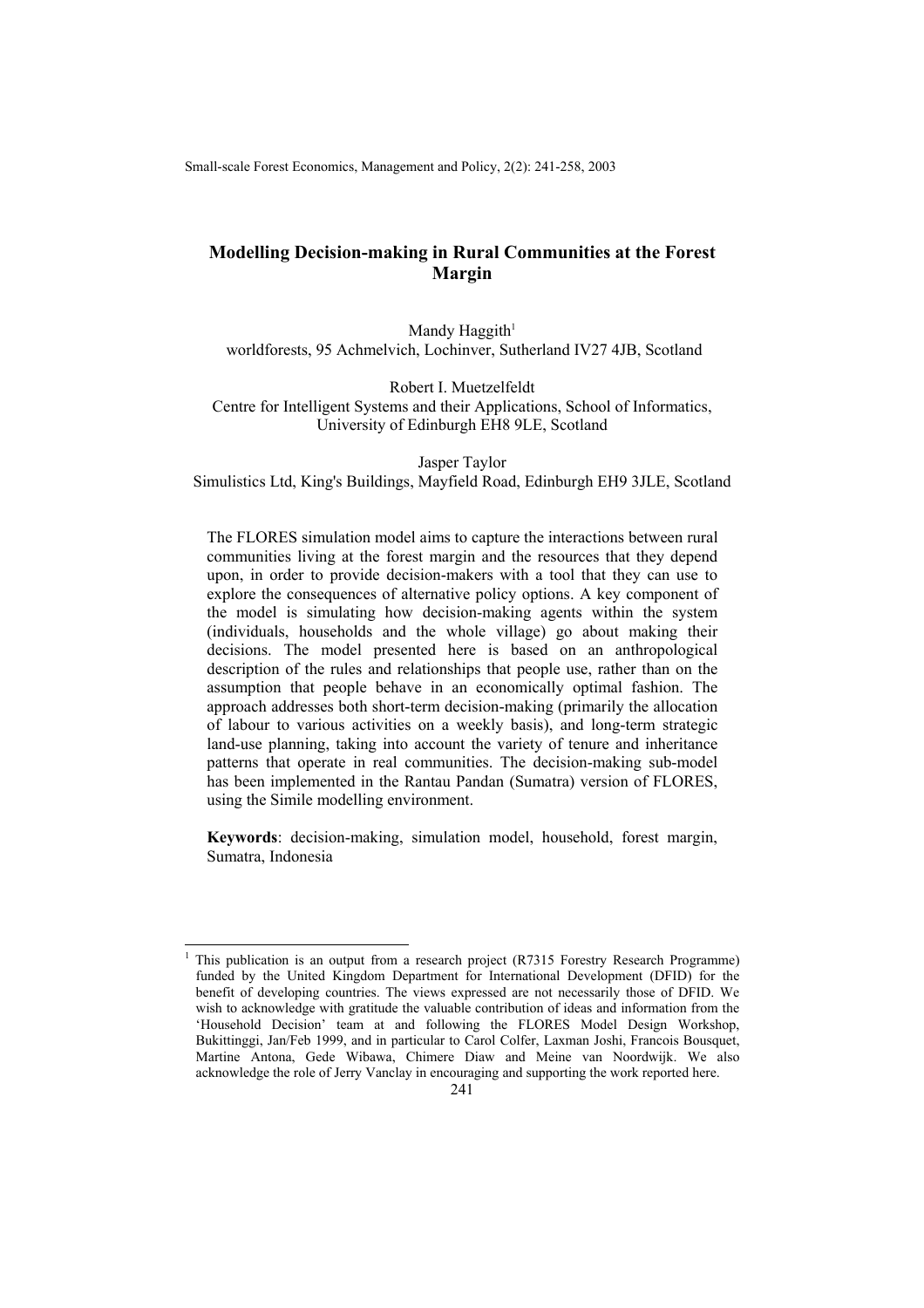Small-scale Forest Economics, Management and Policy, 2(2): 241-258, 2003

# **Modelling Decision-making in Rural Communities at the Forest Margin**

Mandy Haggith $1$ worldforests, 95 Achmelvich, Lochinver, Sutherland IV27 4JB, Scotland

Robert I. Muetzelfeldt Centre for Intelligent Systems and their Applications, School of Informatics, University of Edinburgh EH8 9LE, Scotland

Jasper Taylor

Simulistics Ltd, King's Buildings, Mayfield Road, Edinburgh EH9 3JLE, Scotland

The FLORES simulation model aims to capture the interactions between rural communities living at the forest margin and the resources that they depend upon, in order to provide decision-makers with a tool that they can use to explore the consequences of alternative policy options. A key component of the model is simulating how decision-making agents within the system (individuals, households and the whole village) go about making their decisions. The model presented here is based on an anthropological description of the rules and relationships that people use, rather than on the assumption that people behave in an economically optimal fashion. The approach addresses both short-term decision-making (primarily the allocation of labour to various activities on a weekly basis), and long-term strategic land-use planning, taking into account the variety of tenure and inheritance patterns that operate in real communities. The decision-making sub-model has been implemented in the Rantau Pandan (Sumatra) version of FLORES, using the Simile modelling environment.

**Keywords**: decision-making, simulation model, household, forest margin, Sumatra, Indonesia

 $\overline{a}$ 

<span id="page-0-0"></span><sup>1</sup> This publication is an output from a research project (R7315 Forestry Research Programme) funded by the United Kingdom Department for International Development (DFID) for the benefit of developing countries. The views expressed are not necessarily those of DFID. We wish to acknowledge with gratitude the valuable contribution of ideas and information from the 'Household Decision' team at and following the FLORES Model Design Workshop, Bukittinggi, Jan/Feb 1999, and in particular to Carol Colfer, Laxman Joshi, Francois Bousquet, Martine Antona, Gede Wibawa, Chimere Diaw and Meine van Noordwijk. We also acknowledge the role of Jerry Vanclay in encouraging and supporting the work reported here.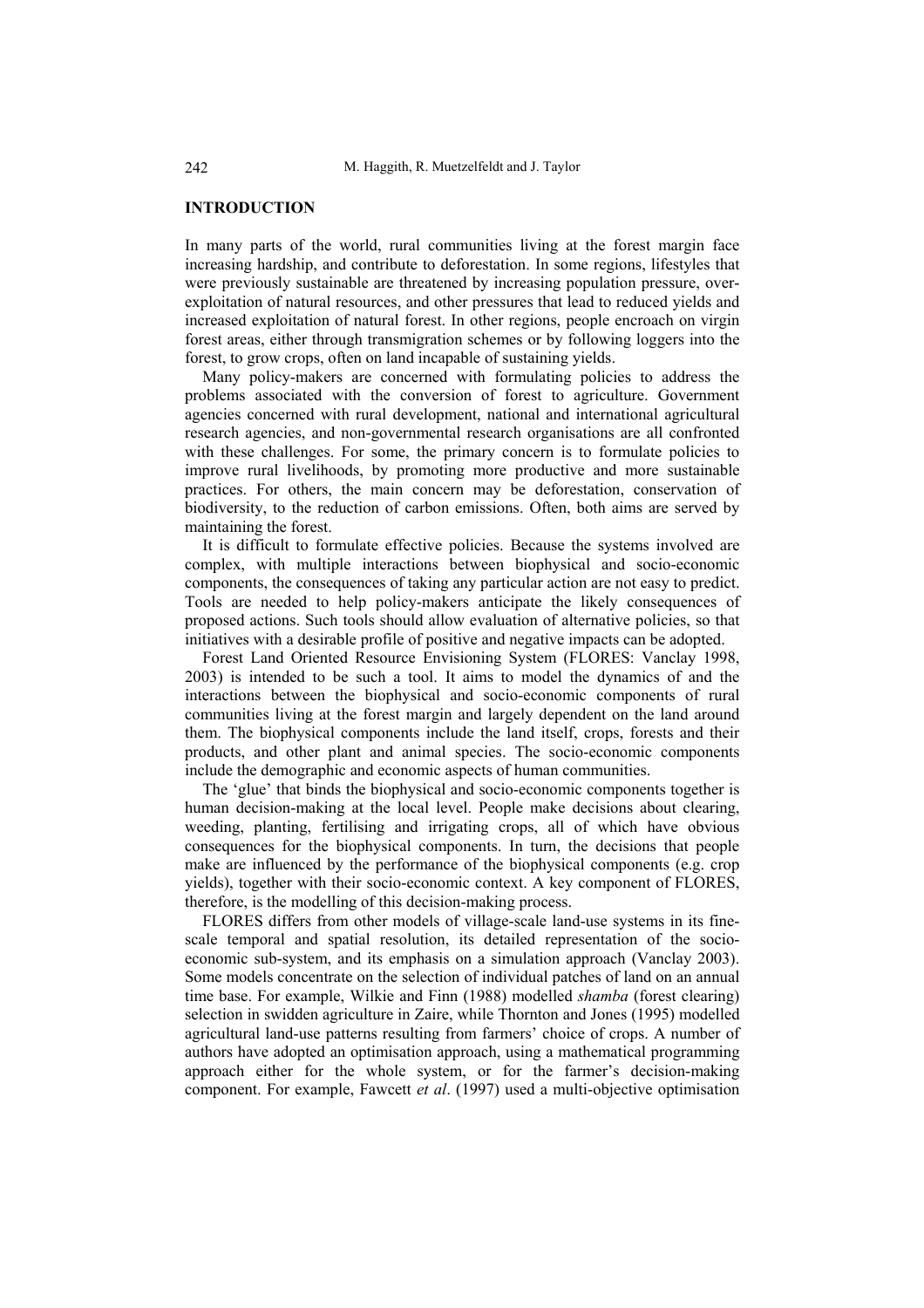#### **INTRODUCTION**

In many parts of the world, rural communities living at the forest margin face increasing hardship, and contribute to deforestation. In some regions, lifestyles that were previously sustainable are threatened by increasing population pressure, overexploitation of natural resources, and other pressures that lead to reduced yields and increased exploitation of natural forest. In other regions, people encroach on virgin forest areas, either through transmigration schemes or by following loggers into the forest, to grow crops, often on land incapable of sustaining yields.

Many policy-makers are concerned with formulating policies to address the problems associated with the conversion of forest to agriculture. Government agencies concerned with rural development, national and international agricultural research agencies, and non-governmental research organisations are all confronted with these challenges. For some, the primary concern is to formulate policies to improve rural livelihoods, by promoting more productive and more sustainable practices. For others, the main concern may be deforestation, conservation of biodiversity, to the reduction of carbon emissions. Often, both aims are served by maintaining the forest.

It is difficult to formulate effective policies. Because the systems involved are complex, with multiple interactions between biophysical and socio-economic components, the consequences of taking any particular action are not easy to predict. Tools are needed to help policy-makers anticipate the likely consequences of proposed actions. Such tools should allow evaluation of alternative policies, so that initiatives with a desirable profile of positive and negative impacts can be adopted.

Forest Land Oriented Resource Envisioning System (FLORES: Vanclay 1998, 2003) is intended to be such a tool. It aims to model the dynamics of and the interactions between the biophysical and socio-economic components of rural communities living at the forest margin and largely dependent on the land around them. The biophysical components include the land itself, crops, forests and their products, and other plant and animal species. The socio-economic components include the demographic and economic aspects of human communities.

The 'glue' that binds the biophysical and socio-economic components together is human decision-making at the local level. People make decisions about clearing, weeding, planting, fertilising and irrigating crops, all of which have obvious consequences for the biophysical components. In turn, the decisions that people make are influenced by the performance of the biophysical components (e.g. crop yields), together with their socio-economic context. A key component of FLORES, therefore, is the modelling of this decision-making process.

FLORES differs from other models of village-scale land-use systems in its finescale temporal and spatial resolution, its detailed representation of the socioeconomic sub-system, and its emphasis on a simulation approach (Vanclay 2003). Some models concentrate on the selection of individual patches of land on an annual time base. For example, Wilkie and Finn (1988) modelled *shamba* (forest clearing) selection in swidden agriculture in Zaire, while Thornton and Jones (1995) modelled agricultural land-use patterns resulting from farmers' choice of crops. A number of authors have adopted an optimisation approach, using a mathematical programming approach either for the whole system, or for the farmer's decision-making component. For example, Fawcett *et al*. (1997) used a multi-objective optimisation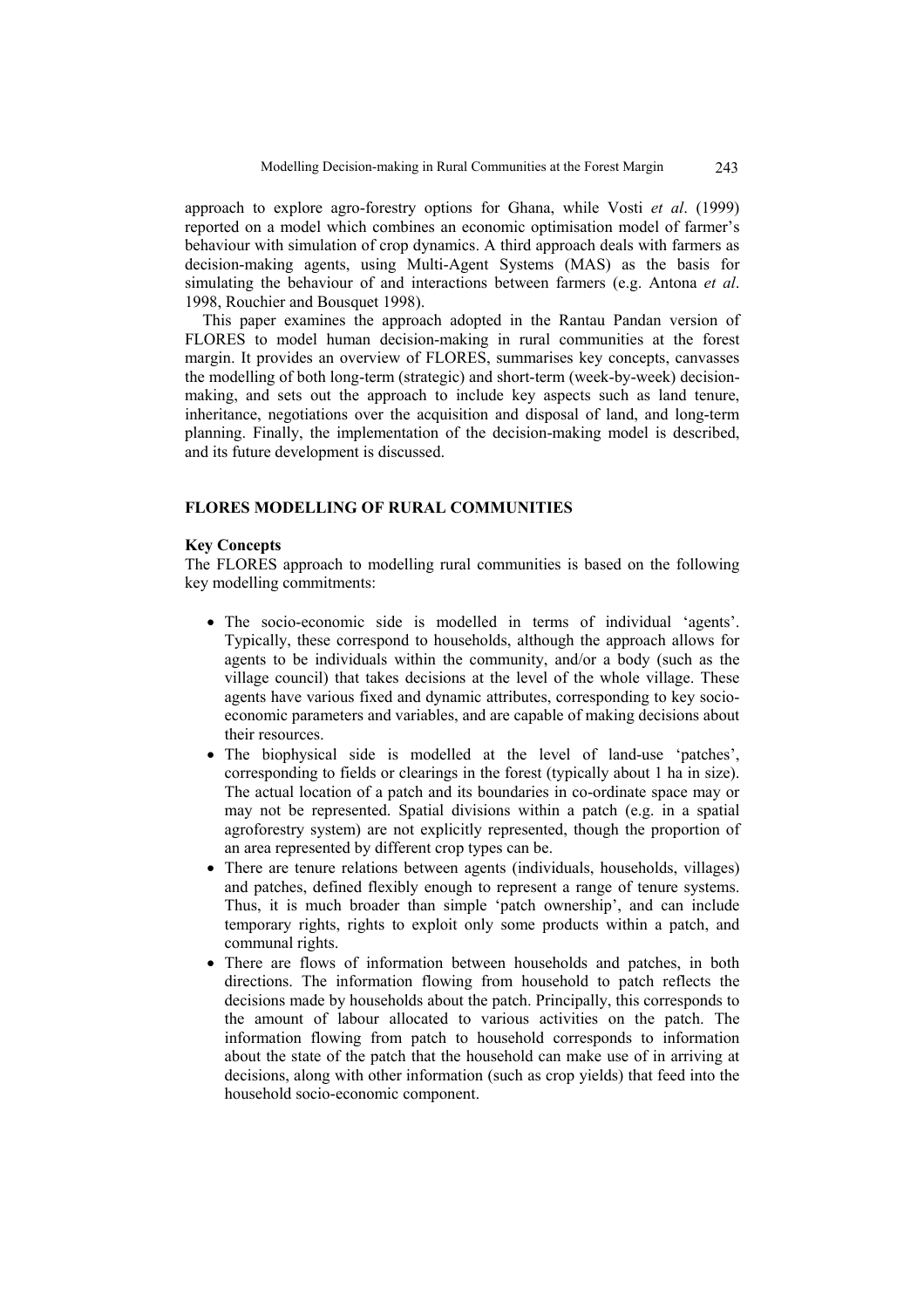approach to explore agro-forestry options for Ghana, while Vosti *et al*. (1999) reported on a model which combines an economic optimisation model of farmer's behaviour with simulation of crop dynamics. A third approach deals with farmers as decision-making agents, using Multi-Agent Systems (MAS) as the basis for simulating the behaviour of and interactions between farmers (e.g. Antona *et al*. 1998, Rouchier and Bousquet 1998).

This paper examines the approach adopted in the Rantau Pandan version of FLORES to model human decision-making in rural communities at the forest margin. It provides an overview of FLORES, summarises key concepts, canvasses the modelling of both long-term (strategic) and short-term (week-by-week) decisionmaking, and sets out the approach to include key aspects such as land tenure, inheritance, negotiations over the acquisition and disposal of land, and long-term planning. Finally, the implementation of the decision-making model is described, and its future development is discussed.

# **FLORES MODELLING OF RURAL COMMUNITIES**

# **Key Concepts**

The FLORES approach to modelling rural communities is based on the following key modelling commitments:

- The socio-economic side is modelled in terms of individual 'agents'. Typically, these correspond to households, although the approach allows for agents to be individuals within the community, and/or a body (such as the village council) that takes decisions at the level of the whole village. These agents have various fixed and dynamic attributes, corresponding to key socioeconomic parameters and variables, and are capable of making decisions about their resources.
- The biophysical side is modelled at the level of land-use 'patches', corresponding to fields or clearings in the forest (typically about 1 ha in size). The actual location of a patch and its boundaries in co-ordinate space may or may not be represented. Spatial divisions within a patch (e.g. in a spatial agroforestry system) are not explicitly represented, though the proportion of an area represented by different crop types can be.
- There are tenure relations between agents (individuals, households, villages) and patches, defined flexibly enough to represent a range of tenure systems. Thus, it is much broader than simple 'patch ownership', and can include temporary rights, rights to exploit only some products within a patch, and communal rights.
- There are flows of information between households and patches, in both directions. The information flowing from household to patch reflects the decisions made by households about the patch. Principally, this corresponds to the amount of labour allocated to various activities on the patch. The information flowing from patch to household corresponds to information about the state of the patch that the household can make use of in arriving at decisions, along with other information (such as crop yields) that feed into the household socio-economic component.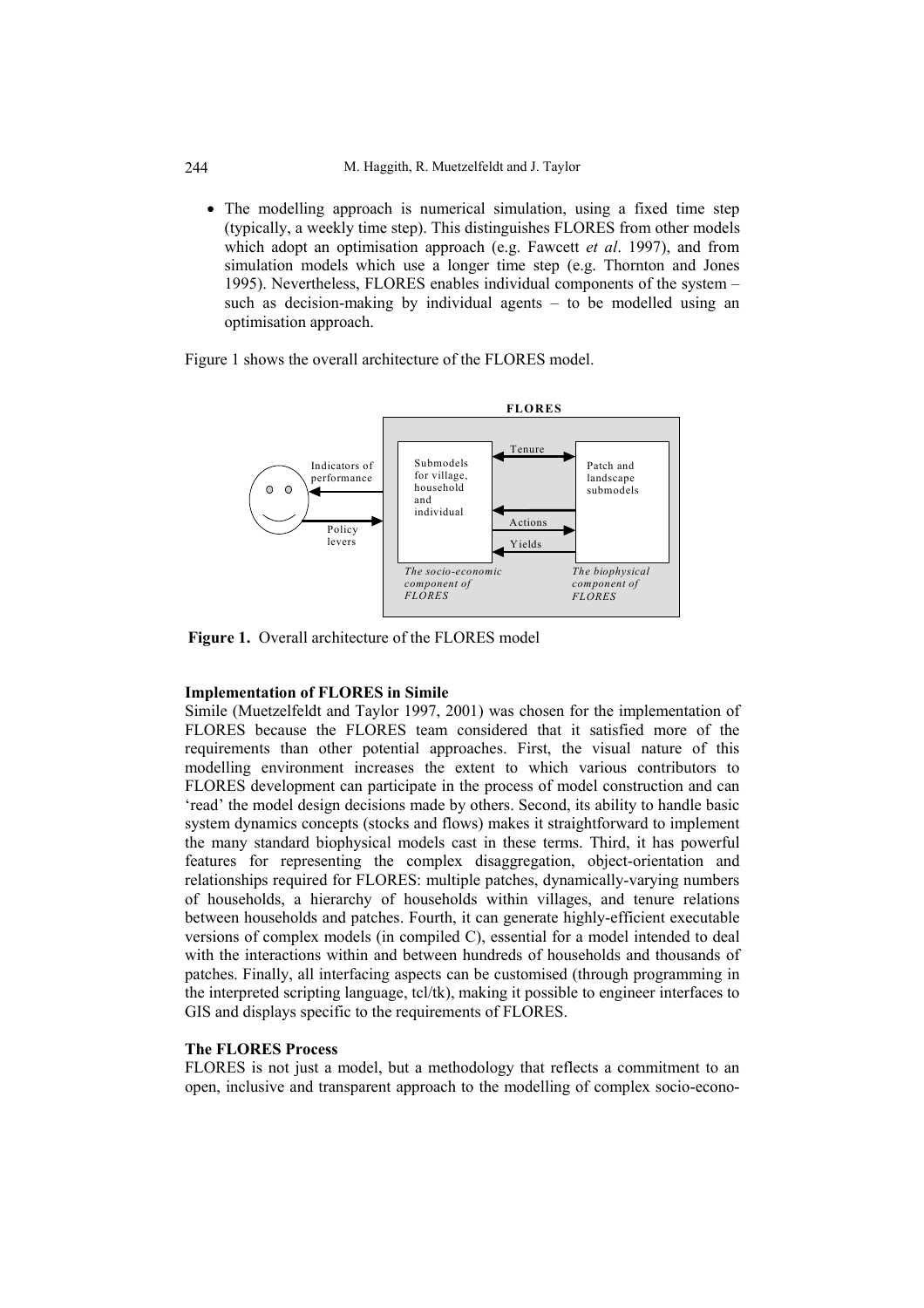• The modelling approach is numerical simulation, using a fixed time step (typically, a weekly time step). This distinguishes FLORES from other models which adopt an optimisation approach (e.g. Fawcett *et al*. 1997), and from simulation models which use a longer time step (e.g. Thornton and Jones 1995). Nevertheless, FLORES enables individual components of the system – such as decision-making by individual agents – to be modelled using an optimisation approach.

Figure 1 shows the overall architecture of the FLORES model.



**Figure 1.** Overall architecture of the FLORES model

## **Implementation of FLORES in Simile**

Simile (Muetzelfeldt and Taylor 1997, 2001) was chosen for the implementation of FLORES because the FLORES team considered that it satisfied more of the requirements than other potential approaches. First, the visual nature of this modelling environment increases the extent to which various contributors to FLORES development can participate in the process of model construction and can 'read' the model design decisions made by others. Second, its ability to handle basic system dynamics concepts (stocks and flows) makes it straightforward to implement the many standard biophysical models cast in these terms. Third, it has powerful features for representing the complex disaggregation, object-orientation and relationships required for FLORES: multiple patches, dynamically-varying numbers of households, a hierarchy of households within villages, and tenure relations between households and patches. Fourth, it can generate highly-efficient executable versions of complex models (in compiled C), essential for a model intended to deal with the interactions within and between hundreds of households and thousands of patches. Finally, all interfacing aspects can be customised (through programming in the interpreted scripting language, tcl/tk), making it possible to engineer interfaces to GIS and displays specific to the requirements of FLORES.

## **The FLORES Process**

FLORES is not just a model, but a methodology that reflects a commitment to an open, inclusive and transparent approach to the modelling of complex socio-econo-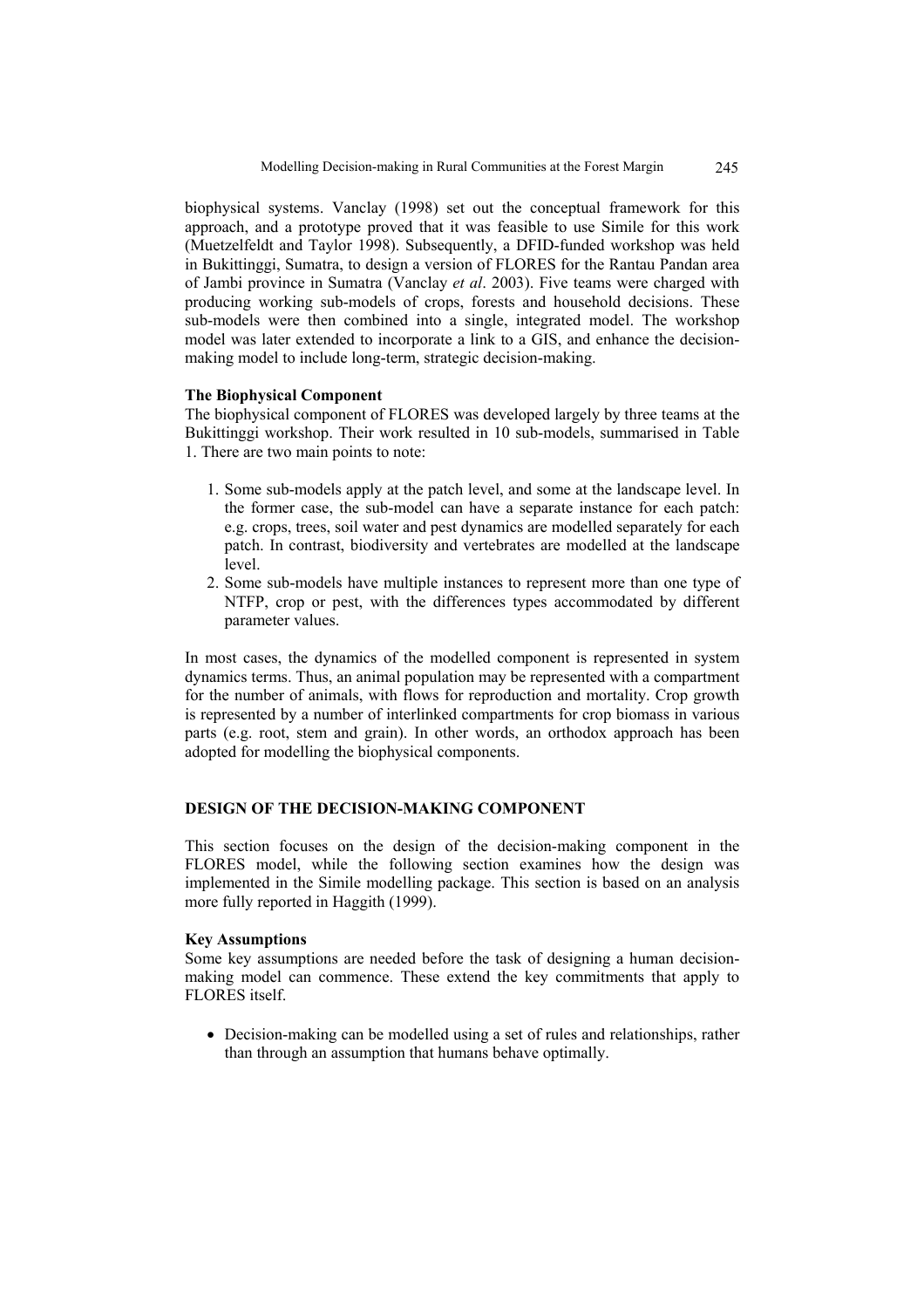biophysical systems. Vanclay (1998) set out the conceptual framework for this approach, and a prototype proved that it was feasible to use Simile for this work (Muetzelfeldt and Taylor 1998). Subsequently, a DFID-funded workshop was held in Bukittinggi, Sumatra, to design a version of FLORES for the Rantau Pandan area of Jambi province in Sumatra (Vanclay *et al*. 2003). Five teams were charged with producing working sub-models of crops, forests and household decisions. These sub-models were then combined into a single, integrated model. The workshop model was later extended to incorporate a link to a GIS, and enhance the decisionmaking model to include long-term, strategic decision-making.

#### **The Biophysical Component**

The biophysical component of FLORES was developed largely by three teams at the Bukittinggi workshop. Their work resulted in 10 sub-models, summarised in Table 1. There are two main points to note:

- 1. Some sub-models apply at the patch level, and some at the landscape level. In the former case, the sub-model can have a separate instance for each patch: e.g. crops, trees, soil water and pest dynamics are modelled separately for each patch. In contrast, biodiversity and vertebrates are modelled at the landscape level.
- 2. Some sub-models have multiple instances to represent more than one type of NTFP, crop or pest, with the differences types accommodated by different parameter values.

In most cases, the dynamics of the modelled component is represented in system dynamics terms. Thus, an animal population may be represented with a compartment for the number of animals, with flows for reproduction and mortality. Crop growth is represented by a number of interlinked compartments for crop biomass in various parts (e.g. root, stem and grain). In other words, an orthodox approach has been adopted for modelling the biophysical components.

# **DESIGN OF THE DECISION-MAKING COMPONENT**

This section focuses on the design of the decision-making component in the FLORES model, while the following section examines how the design was implemented in the Simile modelling package. This section is based on an analysis more fully reported in Haggith (1999).

#### **Key Assumptions**

Some key assumptions are needed before the task of designing a human decisionmaking model can commence. These extend the key commitments that apply to FLORES itself.

• Decision-making can be modelled using a set of rules and relationships, rather than through an assumption that humans behave optimally.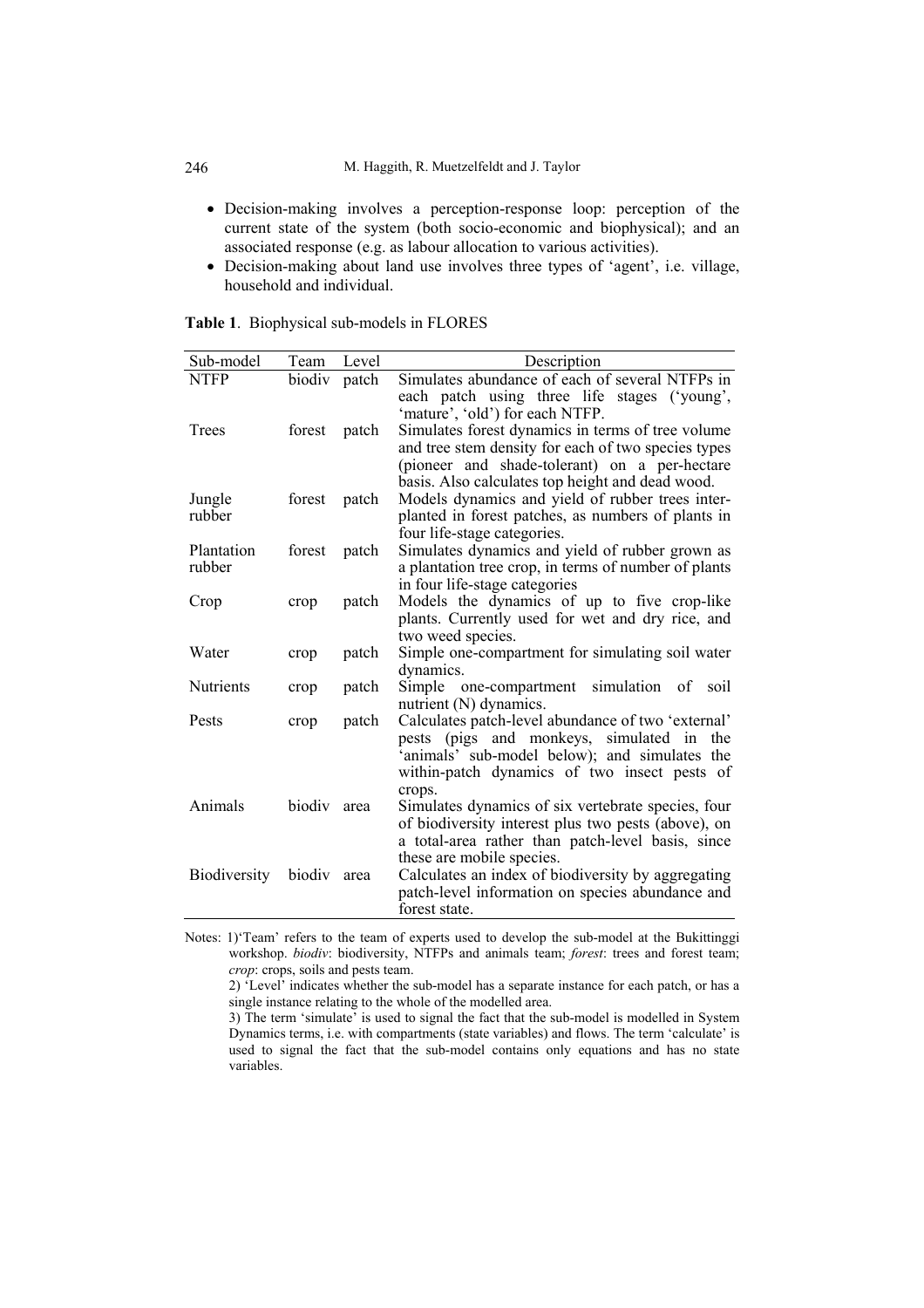- Decision-making involves a perception-response loop: perception of the current state of the system (both socio-economic and biophysical); and an associated response (e.g. as labour allocation to various activities).
- Decision-making about land use involves three types of 'agent', i.e. village, household and individual.

| Sub-model            | Team   | Level | Description                                                                                                                                                                                                                                  |
|----------------------|--------|-------|----------------------------------------------------------------------------------------------------------------------------------------------------------------------------------------------------------------------------------------------|
| <b>NTFP</b>          | biodiv | patch | Simulates abundance of each of several NTFPs in                                                                                                                                                                                              |
| Trees                | forest | patch | each patch using three life stages ('young',<br>'mature', 'old') for each NTFP.<br>Simulates forest dynamics in terms of tree volume<br>and tree stem density for each of two species types<br>(pioneer and shade-tolerant) on a per-hectare |
| Jungle<br>rubber     | forest | patch | basis. Also calculates top height and dead wood.<br>Models dynamics and yield of rubber trees inter-<br>planted in forest patches, as numbers of plants in<br>four life-stage categories.                                                    |
| Plantation<br>rubber | forest | patch | Simulates dynamics and yield of rubber grown as<br>a plantation tree crop, in terms of number of plants<br>in four life-stage categories                                                                                                     |
| Crop                 | crop   | patch | Models the dynamics of up to five crop-like<br>plants. Currently used for wet and dry rice, and<br>two weed species.                                                                                                                         |
| Water                | crop   | patch | Simple one-compartment for simulating soil water<br>dynamics.                                                                                                                                                                                |
| Nutrients            | crop   | patch | simulation of soil<br>Simple one-compartment<br>nutrient (N) dynamics.                                                                                                                                                                       |
| Pests                | crop   | patch | Calculates patch-level abundance of two 'external'<br>pests (pigs and monkeys, simulated in<br>the<br>animals' sub-model below); and simulates the<br>within-patch dynamics of two insect pests of<br>crops.                                 |
| Animals              | biodiv | area  | Simulates dynamics of six vertebrate species, four<br>of biodiversity interest plus two pests (above), on<br>a total-area rather than patch-level basis, since<br>these are mobile species.                                                  |
| Biodiversity         | biodiv | area  | Calculates an index of biodiversity by aggregating<br>patch-level information on species abundance and<br>forest state.                                                                                                                      |

**Table 1**. Biophysical sub-models in FLORES

Notes: 1) Team' refers to the team of experts used to develop the sub-model at the Bukittinggi workshop. *biodiv*: biodiversity, NTFPs and animals team; *forest*: trees and forest team; *crop*: crops, soils and pests team.

2) 'Level' indicates whether the sub-model has a separate instance for each patch, or has a single instance relating to the whole of the modelled area.

3) The term 'simulate' is used to signal the fact that the sub-model is modelled in System Dynamics terms, i.e. with compartments (state variables) and flows. The term 'calculate' is used to signal the fact that the sub-model contains only equations and has no state variables.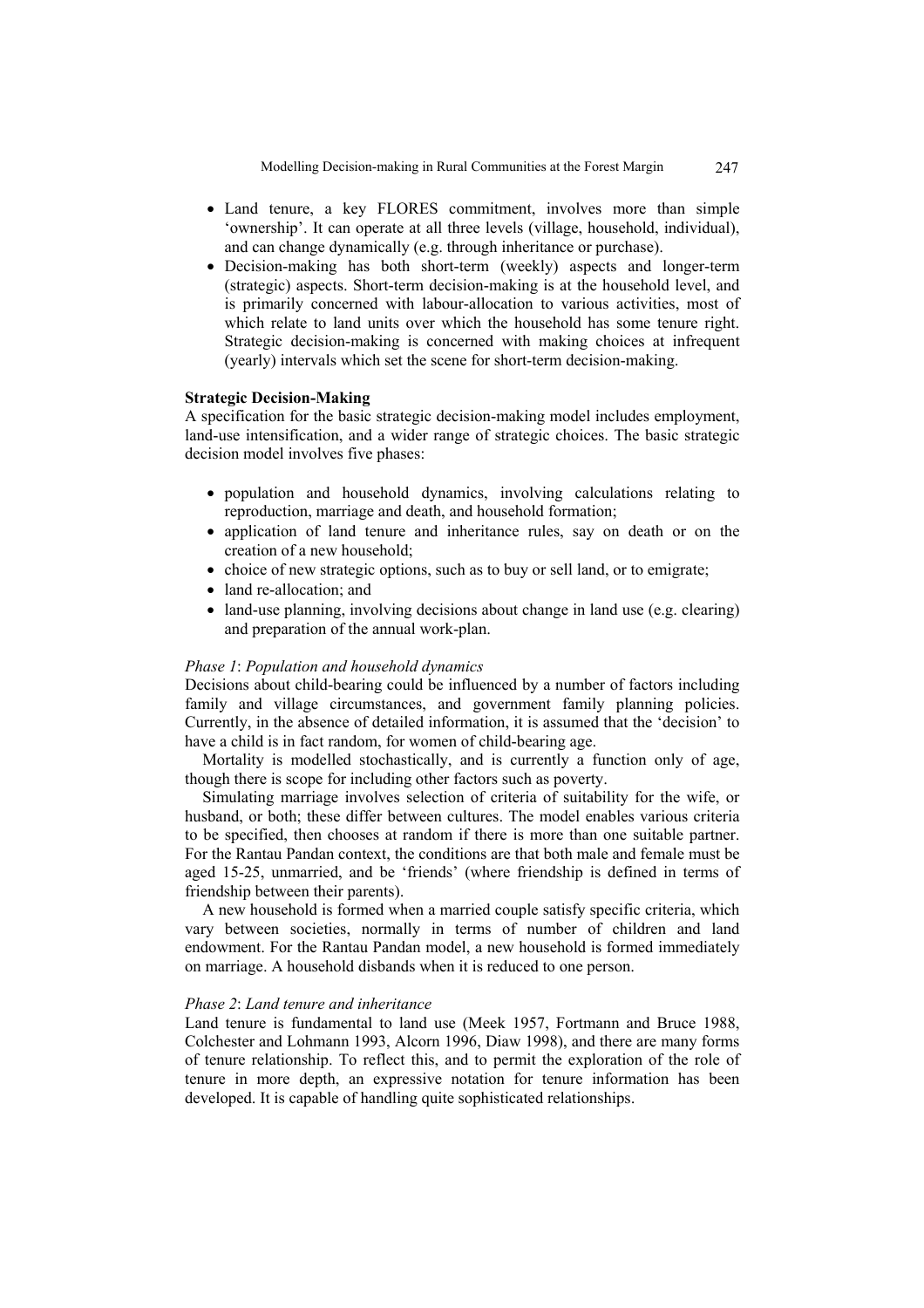- Land tenure, a key FLORES commitment, involves more than simple 'ownership'. It can operate at all three levels (village, household, individual), and can change dynamically (e.g. through inheritance or purchase).
- Decision-making has both short-term (weekly) aspects and longer-term (strategic) aspects. Short-term decision-making is at the household level, and is primarily concerned with labour-allocation to various activities, most of which relate to land units over which the household has some tenure right. Strategic decision-making is concerned with making choices at infrequent (yearly) intervals which set the scene for short-term decision-making.

## **Strategic Decision-Making**

A specification for the basic strategic decision-making model includes employment, land-use intensification, and a wider range of strategic choices. The basic strategic decision model involves five phases:

- population and household dynamics, involving calculations relating to reproduction, marriage and death, and household formation;
- application of land tenure and inheritance rules, say on death or on the creation of a new household;
- choice of new strategic options, such as to buy or sell land, or to emigrate;
- land re-allocation; and
- land-use planning, involving decisions about change in land use (e.g. clearing) and preparation of the annual work-plan.

#### *Phase 1*: *Population and household dynamics*

Decisions about child-bearing could be influenced by a number of factors including family and village circumstances, and government family planning policies. Currently, in the absence of detailed information, it is assumed that the 'decision' to have a child is in fact random, for women of child-bearing age.

Mortality is modelled stochastically, and is currently a function only of age, though there is scope for including other factors such as poverty.

Simulating marriage involves selection of criteria of suitability for the wife, or husband, or both; these differ between cultures. The model enables various criteria to be specified, then chooses at random if there is more than one suitable partner. For the Rantau Pandan context, the conditions are that both male and female must be aged 15-25, unmarried, and be 'friends' (where friendship is defined in terms of friendship between their parents).

A new household is formed when a married couple satisfy specific criteria, which vary between societies, normally in terms of number of children and land endowment. For the Rantau Pandan model, a new household is formed immediately on marriage. A household disbands when it is reduced to one person.

#### *Phase 2*: *Land tenure and inheritance*

Land tenure is fundamental to land use (Meek 1957, Fortmann and Bruce 1988, Colchester and Lohmann 1993, Alcorn 1996, Diaw 1998), and there are many forms of tenure relationship. To reflect this, and to permit the exploration of the role of tenure in more depth, an expressive notation for tenure information has been developed. It is capable of handling quite sophisticated relationships.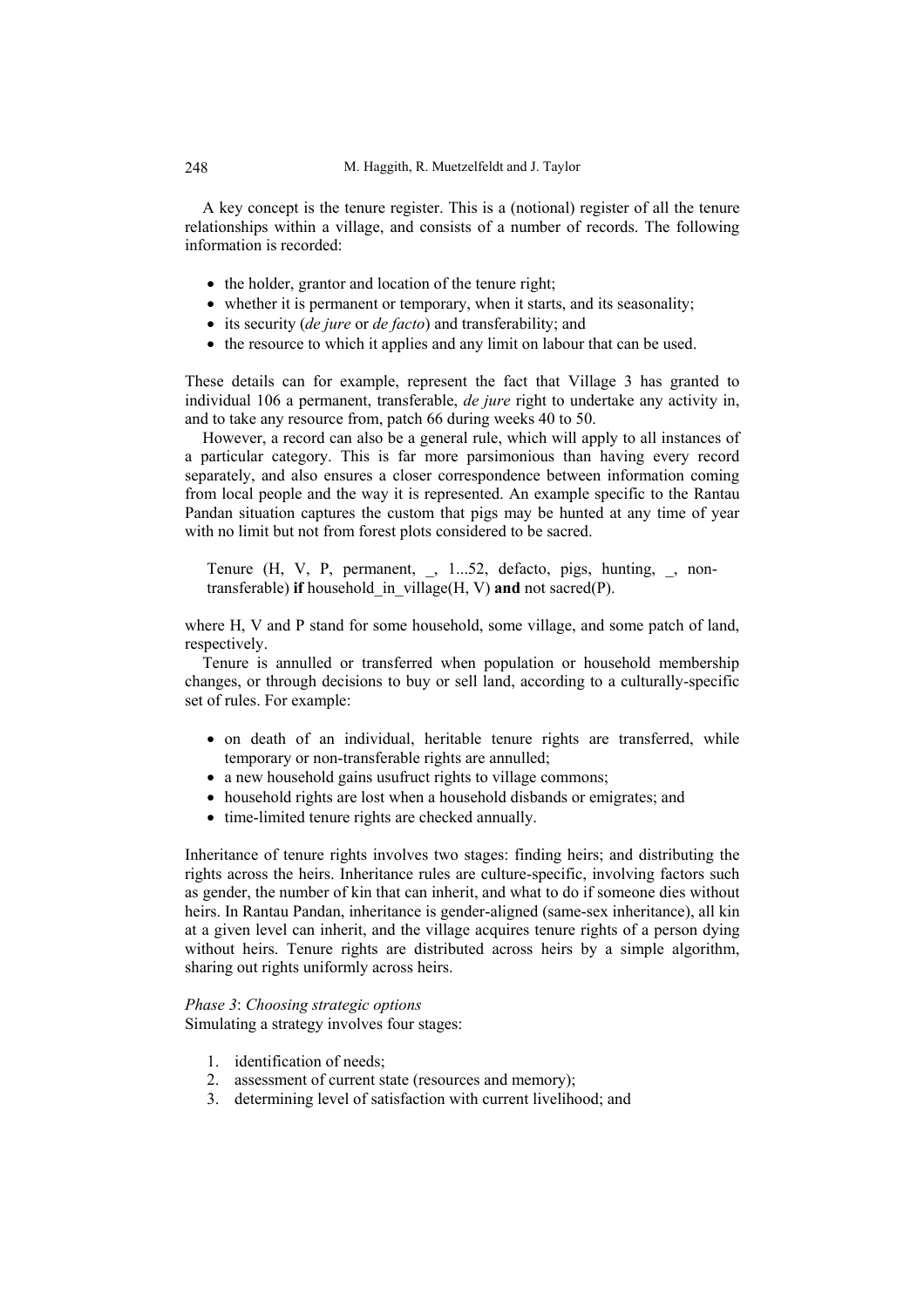A key concept is the tenure register. This is a (notional) register of all the tenure relationships within a village, and consists of a number of records. The following information is recorded:

- the holder, grantor and location of the tenure right;
- whether it is permanent or temporary, when it starts, and its seasonality;
- its security (*de jure* or *de facto*) and transferability; and
- the resource to which it applies and any limit on labour that can be used.

These details can for example, represent the fact that Village 3 has granted to individual 106 a permanent, transferable, *de jure* right to undertake any activity in, and to take any resource from, patch 66 during weeks 40 to 50.

However, a record can also be a general rule, which will apply to all instances of a particular category. This is far more parsimonious than having every record separately, and also ensures a closer correspondence between information coming from local people and the way it is represented. An example specific to the Rantau Pandan situation captures the custom that pigs may be hunted at any time of year with no limit but not from forest plots considered to be sacred.

Tenure (H, V, P, permanent, , 1...52, defacto, pigs, hunting, , nontransferable) **if** household\_in\_village(H, V) **and** not sacred(P).

where H, V and P stand for some household, some village, and some patch of land, respectively.

Tenure is annulled or transferred when population or household membership changes, or through decisions to buy or sell land, according to a culturally-specific set of rules. For example:

- on death of an individual, heritable tenure rights are transferred, while temporary or non-transferable rights are annulled;
- a new household gains usufruct rights to village commons;
- household rights are lost when a household disbands or emigrates; and
- time-limited tenure rights are checked annually.

Inheritance of tenure rights involves two stages: finding heirs; and distributing the rights across the heirs. Inheritance rules are culture-specific, involving factors such as gender, the number of kin that can inherit, and what to do if someone dies without heirs. In Rantau Pandan, inheritance is gender-aligned (same-sex inheritance), all kin at a given level can inherit, and the village acquires tenure rights of a person dying without heirs. Tenure rights are distributed across heirs by a simple algorithm, sharing out rights uniformly across heirs.

#### *Phase 3*: *Choosing strategic options*

Simulating a strategy involves four stages:

- 1. identification of needs;
- 2. assessment of current state (resources and memory);
- 3. determining level of satisfaction with current livelihood; and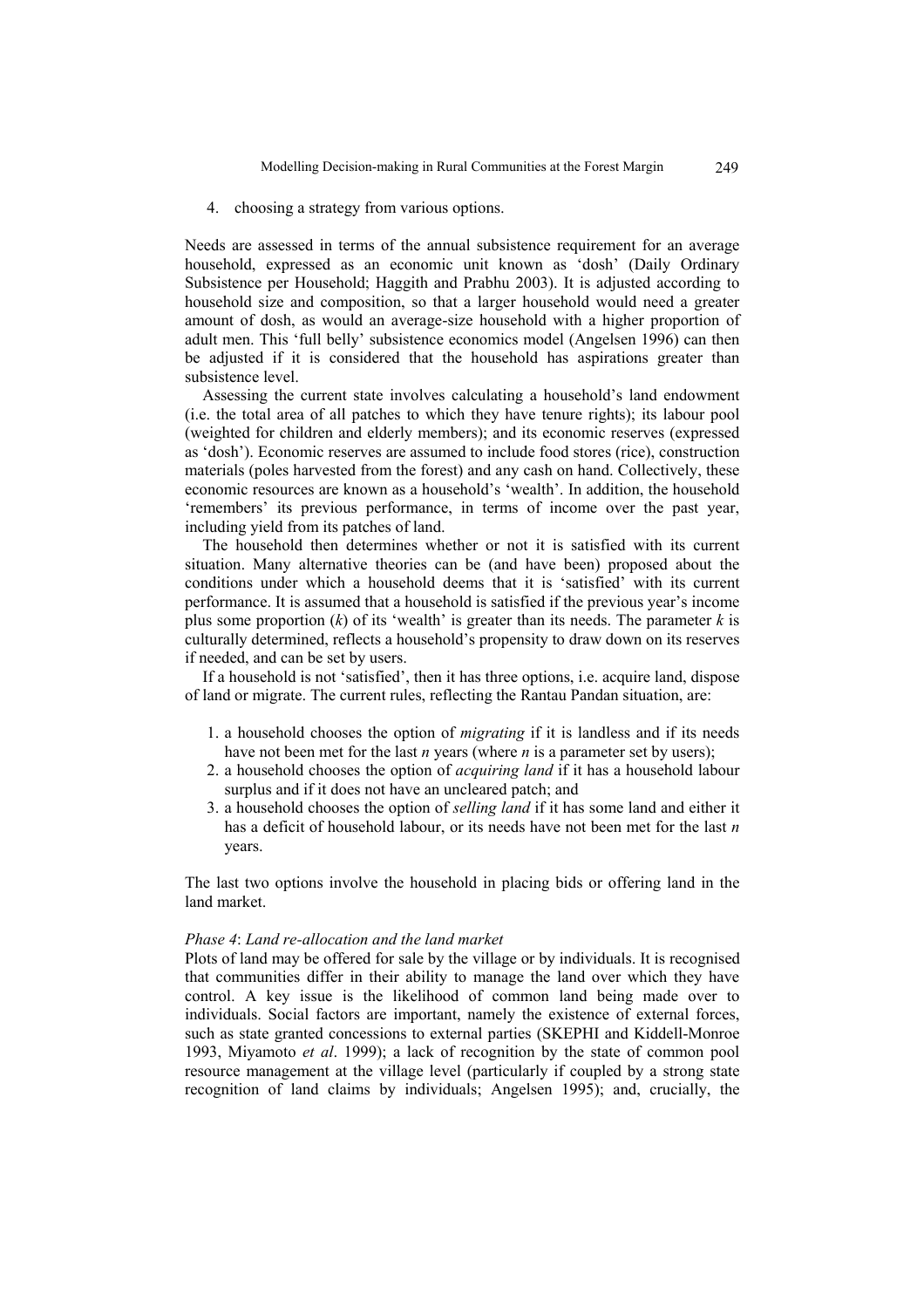4. choosing a strategy from various options.

Needs are assessed in terms of the annual subsistence requirement for an average household, expressed as an economic unit known as 'dosh' (Daily Ordinary Subsistence per Household; Haggith and Prabhu 2003). It is adjusted according to household size and composition, so that a larger household would need a greater amount of dosh, as would an average-size household with a higher proportion of adult men. This 'full belly' subsistence economics model (Angelsen 1996) can then be adjusted if it is considered that the household has aspirations greater than subsistence level.

Assessing the current state involves calculating a household's land endowment (i.e. the total area of all patches to which they have tenure rights); its labour pool (weighted for children and elderly members); and its economic reserves (expressed as 'dosh'). Economic reserves are assumed to include food stores (rice), construction materials (poles harvested from the forest) and any cash on hand. Collectively, these economic resources are known as a household's 'wealth'. In addition, the household 'remembers' its previous performance, in terms of income over the past year, including yield from its patches of land.

The household then determines whether or not it is satisfied with its current situation. Many alternative theories can be (and have been) proposed about the conditions under which a household deems that it is 'satisfied' with its current performance. It is assumed that a household is satisfied if the previous year's income plus some proportion  $(k)$  of its 'wealth' is greater than its needs. The parameter  $k$  is culturally determined, reflects a household's propensity to draw down on its reserves if needed, and can be set by users.

If a household is not 'satisfied', then it has three options, i.e. acquire land, dispose of land or migrate. The current rules, reflecting the Rantau Pandan situation, are:

- 1. a household chooses the option of *migrating* if it is landless and if its needs have not been met for the last *n* years (where *n* is a parameter set by users);
- 2. a household chooses the option of *acquiring land* if it has a household labour surplus and if it does not have an uncleared patch; and
- 3. a household chooses the option of *selling land* if it has some land and either it has a deficit of household labour, or its needs have not been met for the last *n* years.

The last two options involve the household in placing bids or offering land in the land market.

#### *Phase 4*: *Land re-allocation and the land market*

Plots of land may be offered for sale by the village or by individuals. It is recognised that communities differ in their ability to manage the land over which they have control. A key issue is the likelihood of common land being made over to individuals. Social factors are important, namely the existence of external forces, such as state granted concessions to external parties (SKEPHI and Kiddell-Monroe 1993, Miyamoto *et al*. 1999); a lack of recognition by the state of common pool resource management at the village level (particularly if coupled by a strong state recognition of land claims by individuals; Angelsen 1995); and, crucially, the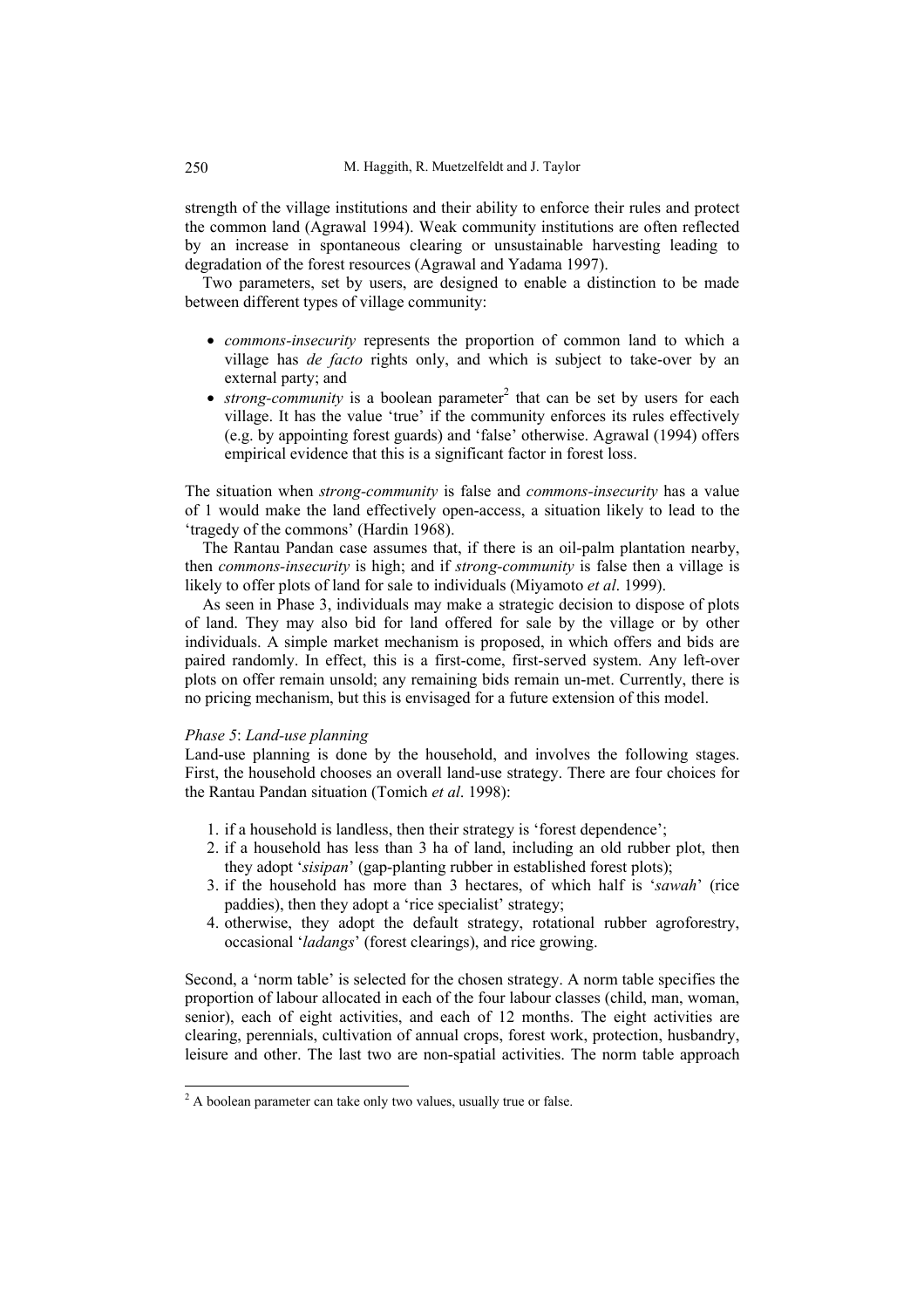strength of the village institutions and their ability to enforce their rules and protect the common land (Agrawal 1994). Weak community institutions are often reflected by an increase in spontaneous clearing or unsustainable harvesting leading to degradation of the forest resources (Agrawal and Yadama 1997).

Two parameters, set by users, are designed to enable a distinction to be made between different types of village community:

- *commons-insecurity* represents the proportion of common land to which a village has *de facto* rights only, and which is subject to take-over by an external party; and
- *strong-community* is a boolean parameter<sup>[2](#page-9-0)</sup> that can be set by users for each village. It has the value 'true' if the community enforces its rules effectively (e.g. by appointing forest guards) and 'false' otherwise. Agrawal (1994) offers empirical evidence that this is a significant factor in forest loss.

The situation when *strong-community* is false and *commons-insecurity* has a value of 1 would make the land effectively open-access, a situation likely to lead to the 'tragedy of the commons' (Hardin 1968).

The Rantau Pandan case assumes that, if there is an oil-palm plantation nearby, then *commons-insecurity* is high; and if *strong-community* is false then a village is likely to offer plots of land for sale to individuals (Miyamoto *et al*. 1999).

As seen in Phase 3, individuals may make a strategic decision to dispose of plots of land. They may also bid for land offered for sale by the village or by other individuals. A simple market mechanism is proposed, in which offers and bids are paired randomly. In effect, this is a first-come, first-served system. Any left-over plots on offer remain unsold; any remaining bids remain un-met. Currently, there is no pricing mechanism, but this is envisaged for a future extension of this model.

#### *Phase 5*: *Land-use planning*

Land-use planning is done by the household, and involves the following stages. First, the household chooses an overall land-use strategy. There are four choices for the Rantau Pandan situation (Tomich *et al*. 1998):

- 1. if a household is landless, then their strategy is 'forest dependence';
- 2. if a household has less than 3 ha of land, including an old rubber plot, then they adopt '*sisipan*' (gap-planting rubber in established forest plots);
- 3. if the household has more than 3 hectares, of which half is '*sawah*' (rice paddies), then they adopt a 'rice specialist' strategy;
- 4. otherwise, they adopt the default strategy, rotational rubber agroforestry, occasional '*ladangs*' (forest clearings), and rice growing.

Second, a 'norm table' is selected for the chosen strategy. A norm table specifies the proportion of labour allocated in each of the four labour classes (child, man, woman, senior), each of eight activities, and each of 12 months. The eight activities are clearing, perennials, cultivation of annual crops, forest work, protection, husbandry, leisure and other. The last two are non-spatial activities. The norm table approach

<span id="page-9-0"></span><sup>&</sup>lt;sup>2</sup> A boolean parameter can take only two values, usually true or false.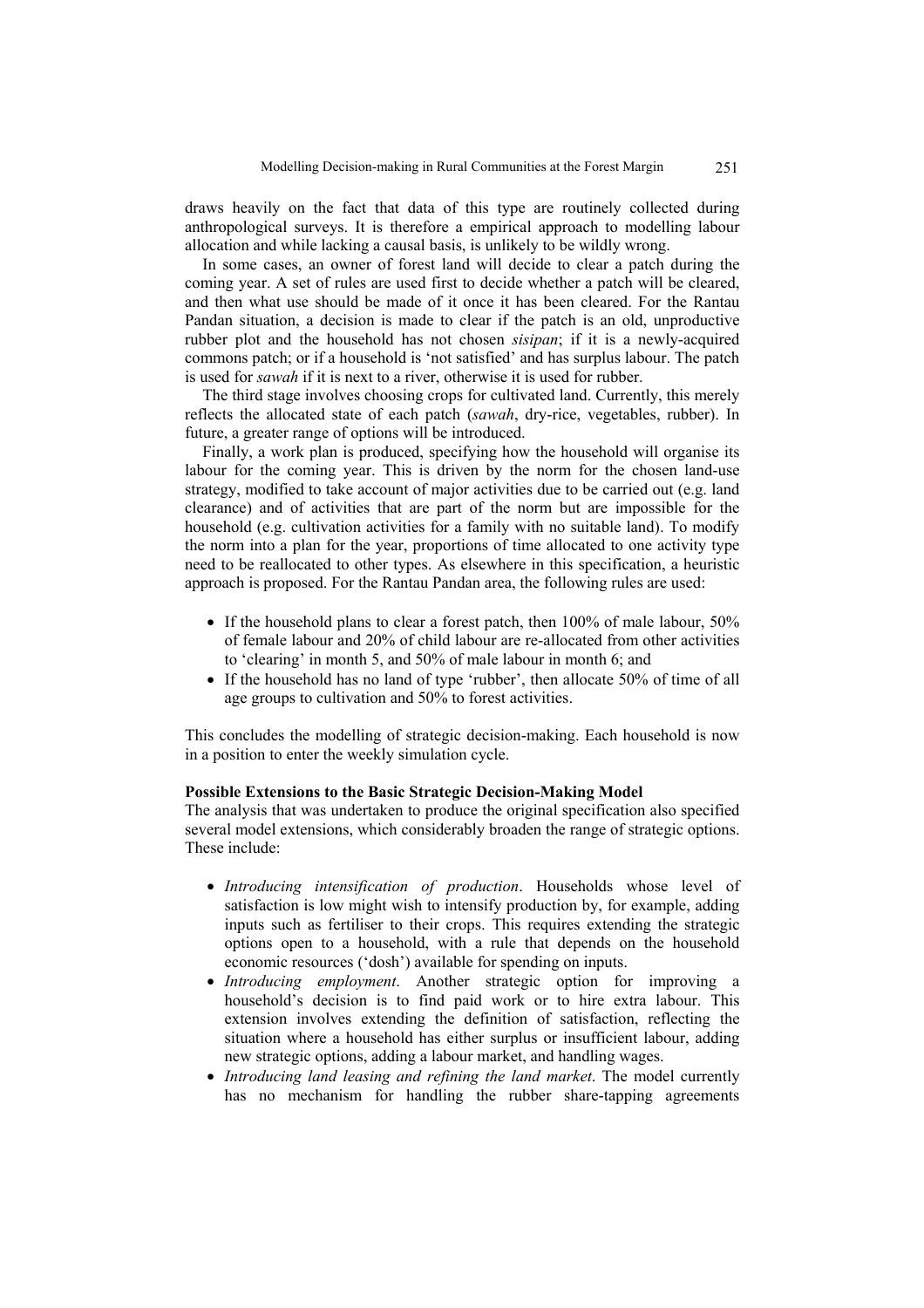draws heavily on the fact that data of this type are routinely collected during anthropological surveys. It is therefore a empirical approach to modelling labour allocation and while lacking a causal basis, is unlikely to be wildly wrong.

In some cases, an owner of forest land will decide to clear a patch during the coming year. A set of rules are used first to decide whether a patch will be cleared, and then what use should be made of it once it has been cleared. For the Rantau Pandan situation, a decision is made to clear if the patch is an old, unproductive rubber plot and the household has not chosen *sisipan*; if it is a newly-acquired commons patch; or if a household is 'not satisfied' and has surplus labour. The patch is used for *sawah* if it is next to a river, otherwise it is used for rubber.

The third stage involves choosing crops for cultivated land. Currently, this merely reflects the allocated state of each patch (*sawah*, dry-rice, vegetables, rubber). In future, a greater range of options will be introduced.

Finally, a work plan is produced, specifying how the household will organise its labour for the coming year. This is driven by the norm for the chosen land-use strategy, modified to take account of major activities due to be carried out (e.g. land clearance) and of activities that are part of the norm but are impossible for the household (e.g. cultivation activities for a family with no suitable land). To modify the norm into a plan for the year, proportions of time allocated to one activity type need to be reallocated to other types. As elsewhere in this specification, a heuristic approach is proposed. For the Rantau Pandan area, the following rules are used:

- If the household plans to clear a forest patch, then 100% of male labour, 50% of female labour and 20% of child labour are re-allocated from other activities to 'clearing' in month 5, and 50% of male labour in month 6; and
- If the household has no land of type 'rubber', then allocate 50% of time of all age groups to cultivation and 50% to forest activities.

This concludes the modelling of strategic decision-making. Each household is now in a position to enter the weekly simulation cycle.

## **Possible Extensions to the Basic Strategic Decision-Making Model**

The analysis that was undertaken to produce the original specification also specified several model extensions, which considerably broaden the range of strategic options. These include:

- *Introducing intensification of production*. Households whose level of satisfaction is low might wish to intensify production by, for example, adding inputs such as fertiliser to their crops. This requires extending the strategic options open to a household, with a rule that depends on the household economic resources ('dosh') available for spending on inputs.
- *Introducing employment*. Another strategic option for improving a household's decision is to find paid work or to hire extra labour. This extension involves extending the definition of satisfaction, reflecting the situation where a household has either surplus or insufficient labour, adding new strategic options, adding a labour market, and handling wages.
- *Introducing land leasing and refining the land market*. The model currently has no mechanism for handling the rubber share-tapping agreements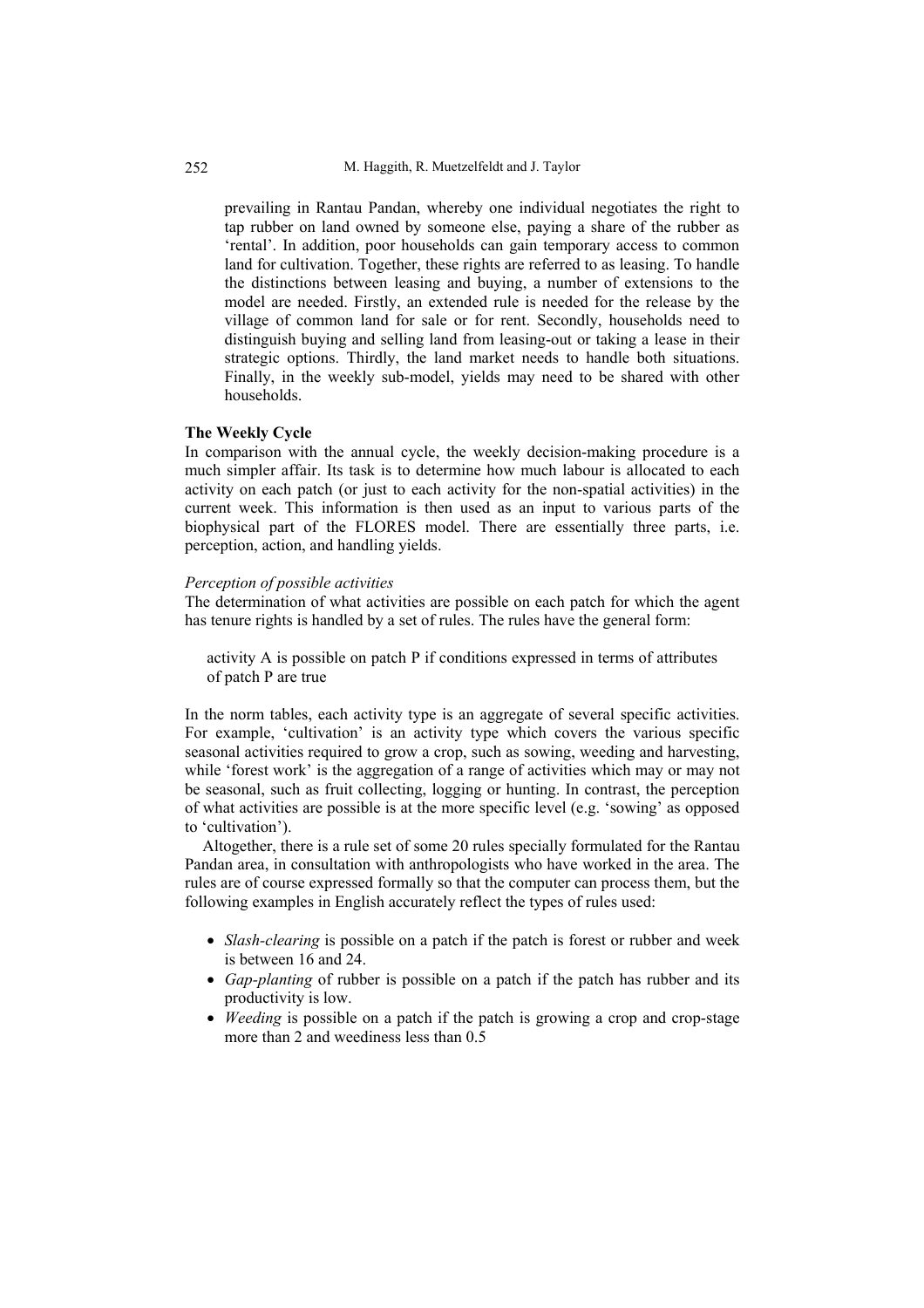prevailing in Rantau Pandan, whereby one individual negotiates the right to tap rubber on land owned by someone else, paying a share of the rubber as 'rental'. In addition, poor households can gain temporary access to common land for cultivation. Together, these rights are referred to as leasing. To handle the distinctions between leasing and buying, a number of extensions to the model are needed. Firstly, an extended rule is needed for the release by the village of common land for sale or for rent. Secondly, households need to distinguish buying and selling land from leasing-out or taking a lease in their strategic options. Thirdly, the land market needs to handle both situations. Finally, in the weekly sub-model, yields may need to be shared with other households.

## **The Weekly Cycle**

In comparison with the annual cycle, the weekly decision-making procedure is a much simpler affair. Its task is to determine how much labour is allocated to each activity on each patch (or just to each activity for the non-spatial activities) in the current week. This information is then used as an input to various parts of the biophysical part of the FLORES model. There are essentially three parts, i.e. perception, action, and handling yields.

#### *Perception of possible activities*

The determination of what activities are possible on each patch for which the agent has tenure rights is handled by a set of rules. The rules have the general form:

activity A is possible on patch P if conditions expressed in terms of attributes of patch P are true

In the norm tables, each activity type is an aggregate of several specific activities. For example, 'cultivation' is an activity type which covers the various specific seasonal activities required to grow a crop, such as sowing, weeding and harvesting, while 'forest work' is the aggregation of a range of activities which may or may not be seasonal, such as fruit collecting, logging or hunting. In contrast, the perception of what activities are possible is at the more specific level (e.g. 'sowing' as opposed to 'cultivation').

Altogether, there is a rule set of some 20 rules specially formulated for the Rantau Pandan area, in consultation with anthropologists who have worked in the area. The rules are of course expressed formally so that the computer can process them, but the following examples in English accurately reflect the types of rules used:

- *Slash-clearing* is possible on a patch if the patch is forest or rubber and week is between 16 and 24.
- *Gap-planting* of rubber is possible on a patch if the patch has rubber and its productivity is low.
- *Weeding* is possible on a patch if the patch is growing a crop and crop-stage more than 2 and weediness less than 0.5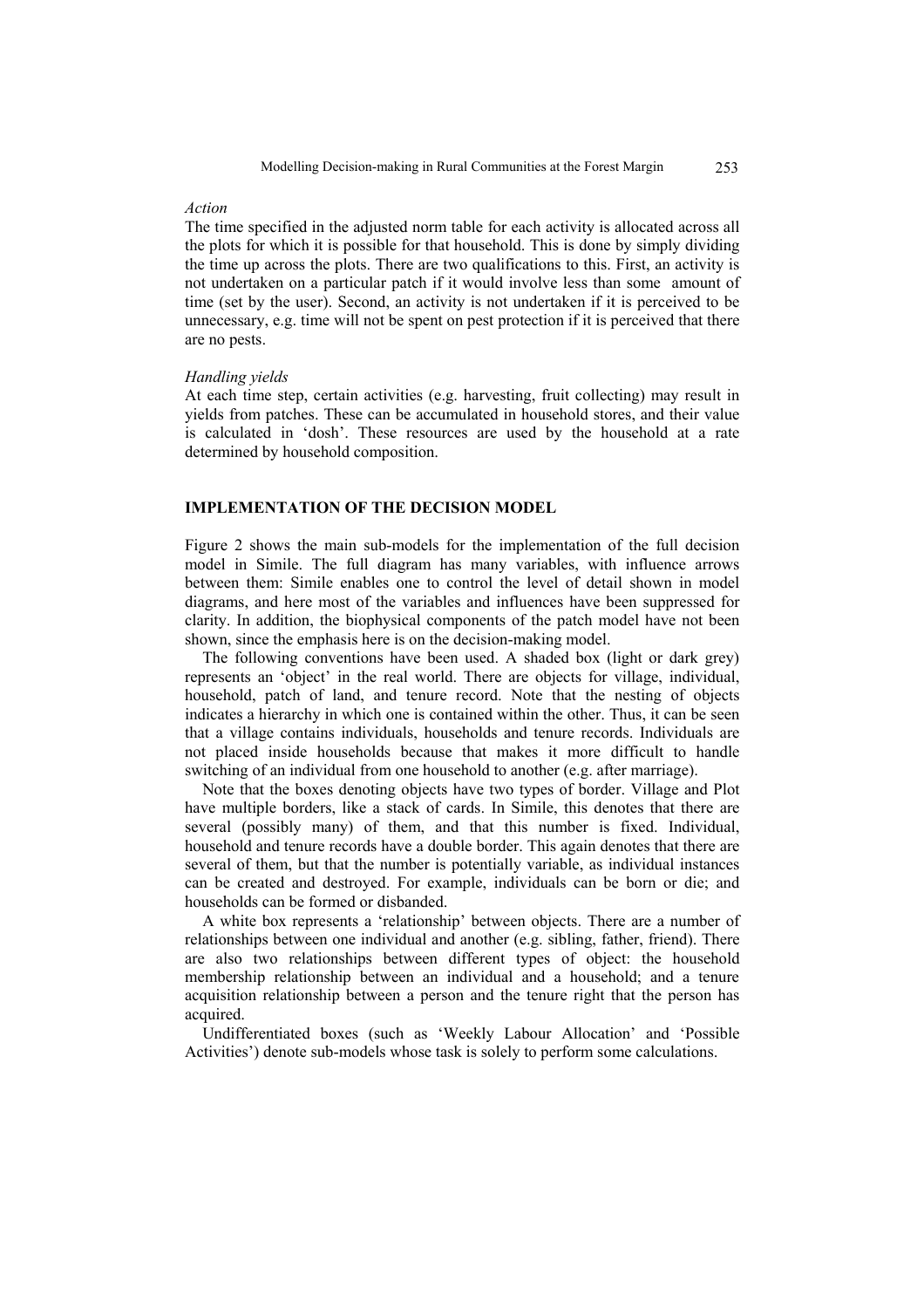#### *Action*

The time specified in the adjusted norm table for each activity is allocated across all the plots for which it is possible for that household. This is done by simply dividing the time up across the plots. There are two qualifications to this. First, an activity is not undertaken on a particular patch if it would involve less than some amount of time (set by the user). Second, an activity is not undertaken if it is perceived to be unnecessary, e.g. time will not be spent on pest protection if it is perceived that there are no pests.

#### *Handling yields*

At each time step, certain activities (e.g. harvesting, fruit collecting) may result in yields from patches. These can be accumulated in household stores, and their value is calculated in 'dosh'. These resources are used by the household at a rate determined by household composition.

## **IMPLEMENTATION OF THE DECISION MODEL**

Figure 2 shows the main sub-models for the implementation of the full decision model in Simile. The full diagram has many variables, with influence arrows between them: Simile enables one to control the level of detail shown in model diagrams, and here most of the variables and influences have been suppressed for clarity. In addition, the biophysical components of the patch model have not been shown, since the emphasis here is on the decision-making model.

The following conventions have been used. A shaded box (light or dark grey) represents an 'object' in the real world. There are objects for village, individual, household, patch of land, and tenure record. Note that the nesting of objects indicates a hierarchy in which one is contained within the other. Thus, it can be seen that a village contains individuals, households and tenure records. Individuals are not placed inside households because that makes it more difficult to handle switching of an individual from one household to another (e.g. after marriage).

Note that the boxes denoting objects have two types of border. Village and Plot have multiple borders, like a stack of cards. In Simile, this denotes that there are several (possibly many) of them, and that this number is fixed. Individual, household and tenure records have a double border. This again denotes that there are several of them, but that the number is potentially variable, as individual instances can be created and destroyed. For example, individuals can be born or die; and households can be formed or disbanded.

A white box represents a 'relationship' between objects. There are a number of relationships between one individual and another (e.g. sibling, father, friend). There are also two relationships between different types of object: the household membership relationship between an individual and a household; and a tenure acquisition relationship between a person and the tenure right that the person has acquired.

Undifferentiated boxes (such as 'Weekly Labour Allocation' and 'Possible Activities') denote sub-models whose task is solely to perform some calculations.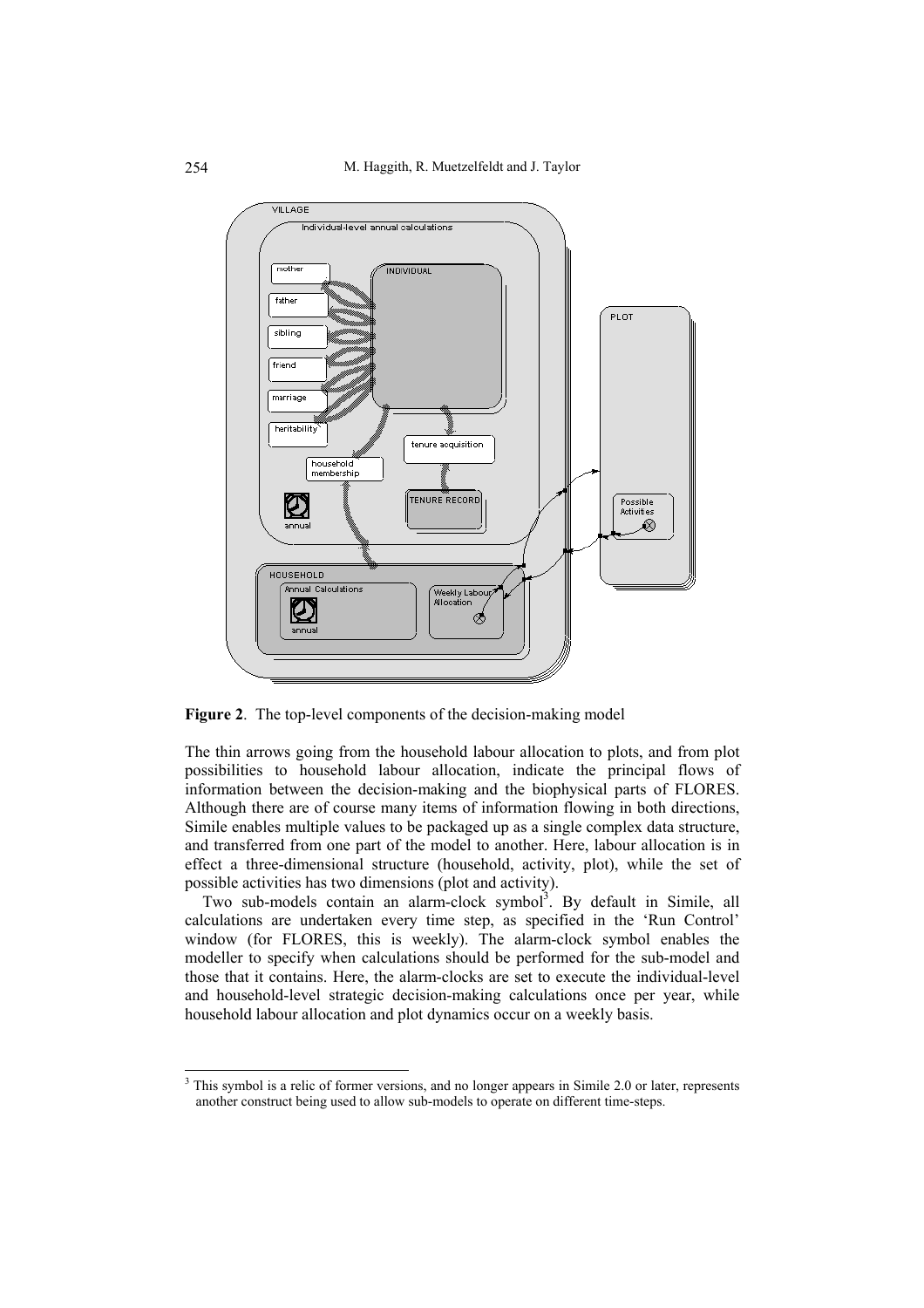

**Figure 2**. The top-level components of the decision-making model

The thin arrows going from the household labour allocation to plots, and from plot possibilities to household labour allocation, indicate the principal flows of information between the decision-making and the biophysical parts of FLORES. Although there are of course many items of information flowing in both directions, Simile enables multiple values to be packaged up as a single complex data structure, and transferred from one part of the model to another. Here, labour allocation is in effect a three-dimensional structure (household, activity, plot), while the set of possible activities has two dimensions (plot and activity).

Two sub-models contain an alarm-clock symbol<sup>[3](#page-13-0)</sup>. By default in Simile, all calculations are undertaken every time step, as specified in the 'Run Control' window (for FLORES, this is weekly). The alarm-clock symbol enables the modeller to specify when calculations should be performed for the sub-model and those that it contains. Here, the alarm-clocks are set to execute the individual-level and household-level strategic decision-making calculations once per year, while household labour allocation and plot dynamics occur on a weekly basis.

<span id="page-13-0"></span><sup>&</sup>lt;sup>3</sup> This symbol is a relic of former versions, and no longer appears in Simile 2.0 or later, represents another construct being used to allow sub-models to operate on different time-steps.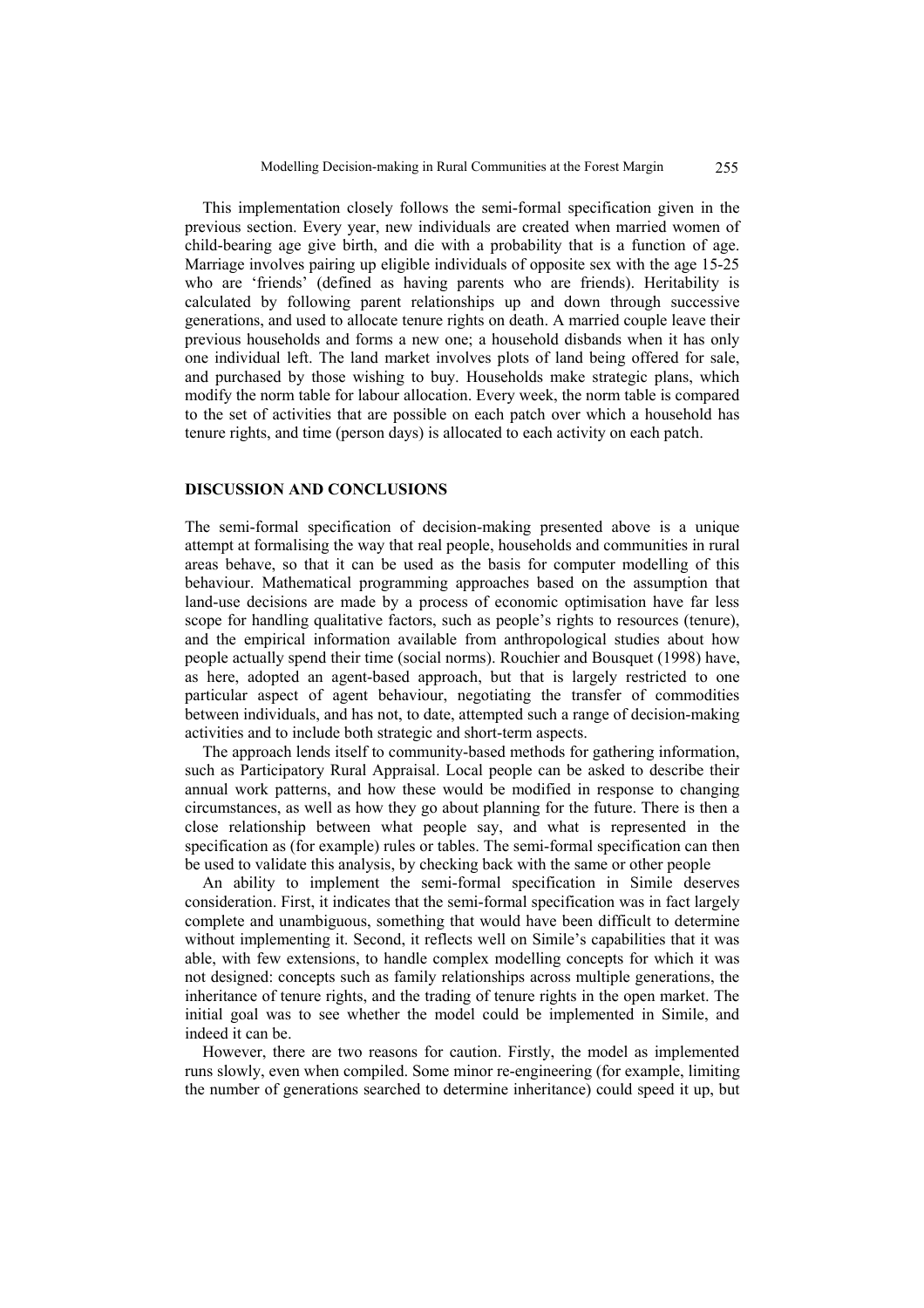This implementation closely follows the semi-formal specification given in the previous section. Every year, new individuals are created when married women of child-bearing age give birth, and die with a probability that is a function of age. Marriage involves pairing up eligible individuals of opposite sex with the age 15-25 who are 'friends' (defined as having parents who are friends). Heritability is calculated by following parent relationships up and down through successive generations, and used to allocate tenure rights on death. A married couple leave their previous households and forms a new one; a household disbands when it has only one individual left. The land market involves plots of land being offered for sale, and purchased by those wishing to buy. Households make strategic plans, which modify the norm table for labour allocation. Every week, the norm table is compared to the set of activities that are possible on each patch over which a household has tenure rights, and time (person days) is allocated to each activity on each patch.

# **DISCUSSION AND CONCLUSIONS**

The semi-formal specification of decision-making presented above is a unique attempt at formalising the way that real people, households and communities in rural areas behave, so that it can be used as the basis for computer modelling of this behaviour. Mathematical programming approaches based on the assumption that land-use decisions are made by a process of economic optimisation have far less scope for handling qualitative factors, such as people's rights to resources (tenure), and the empirical information available from anthropological studies about how people actually spend their time (social norms). Rouchier and Bousquet (1998) have, as here, adopted an agent-based approach, but that is largely restricted to one particular aspect of agent behaviour, negotiating the transfer of commodities between individuals, and has not, to date, attempted such a range of decision-making activities and to include both strategic and short-term aspects.

The approach lends itself to community-based methods for gathering information, such as Participatory Rural Appraisal. Local people can be asked to describe their annual work patterns, and how these would be modified in response to changing circumstances, as well as how they go about planning for the future. There is then a close relationship between what people say, and what is represented in the specification as (for example) rules or tables. The semi-formal specification can then be used to validate this analysis, by checking back with the same or other people

An ability to implement the semi-formal specification in Simile deserves consideration. First, it indicates that the semi-formal specification was in fact largely complete and unambiguous, something that would have been difficult to determine without implementing it. Second, it reflects well on Simile's capabilities that it was able, with few extensions, to handle complex modelling concepts for which it was not designed: concepts such as family relationships across multiple generations, the inheritance of tenure rights, and the trading of tenure rights in the open market. The initial goal was to see whether the model could be implemented in Simile, and indeed it can be.

However, there are two reasons for caution. Firstly, the model as implemented runs slowly, even when compiled. Some minor re-engineering (for example, limiting the number of generations searched to determine inheritance) could speed it up, but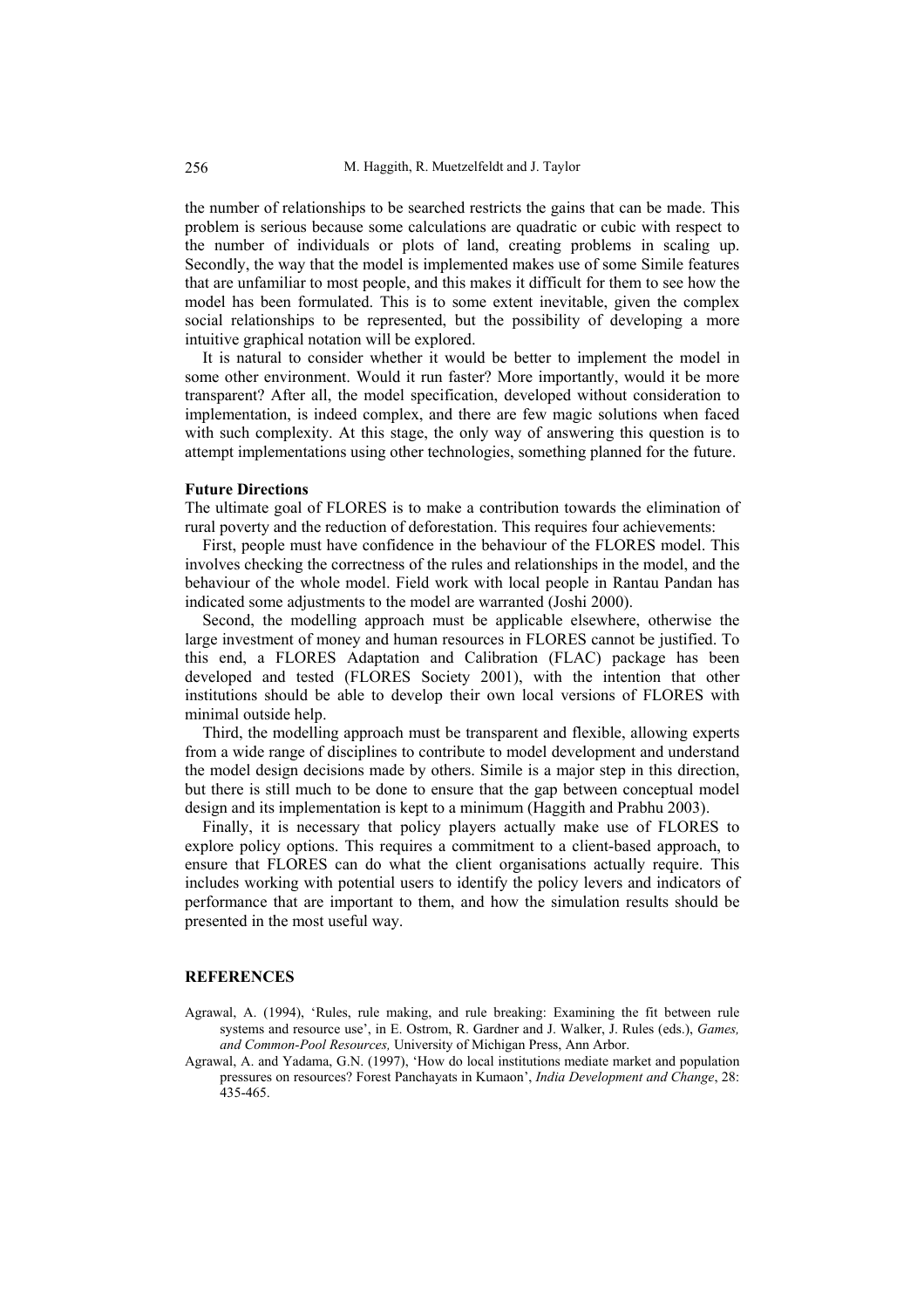the number of relationships to be searched restricts the gains that can be made. This problem is serious because some calculations are quadratic or cubic with respect to the number of individuals or plots of land, creating problems in scaling up. Secondly, the way that the model is implemented makes use of some Simile features that are unfamiliar to most people, and this makes it difficult for them to see how the model has been formulated. This is to some extent inevitable, given the complex social relationships to be represented, but the possibility of developing a more intuitive graphical notation will be explored.

It is natural to consider whether it would be better to implement the model in some other environment. Would it run faster? More importantly, would it be more transparent? After all, the model specification, developed without consideration to implementation, is indeed complex, and there are few magic solutions when faced with such complexity. At this stage, the only way of answering this question is to attempt implementations using other technologies, something planned for the future.

#### **Future Directions**

The ultimate goal of FLORES is to make a contribution towards the elimination of rural poverty and the reduction of deforestation. This requires four achievements:

First, people must have confidence in the behaviour of the FLORES model. This involves checking the correctness of the rules and relationships in the model, and the behaviour of the whole model. Field work with local people in Rantau Pandan has indicated some adjustments to the model are warranted (Joshi 2000).

Second, the modelling approach must be applicable elsewhere, otherwise the large investment of money and human resources in FLORES cannot be justified. To this end, a FLORES Adaptation and Calibration (FLAC) package has been developed and tested (FLORES Society 2001), with the intention that other institutions should be able to develop their own local versions of FLORES with minimal outside help.

Third, the modelling approach must be transparent and flexible, allowing experts from a wide range of disciplines to contribute to model development and understand the model design decisions made by others. Simile is a major step in this direction, but there is still much to be done to ensure that the gap between conceptual model design and its implementation is kept to a minimum (Haggith and Prabhu 2003).

Finally, it is necessary that policy players actually make use of FLORES to explore policy options. This requires a commitment to a client-based approach, to ensure that FLORES can do what the client organisations actually require. This includes working with potential users to identify the policy levers and indicators of performance that are important to them, and how the simulation results should be presented in the most useful way.

#### **REFERENCES**

- Agrawal, A. (1994), 'Rules, rule making, and rule breaking: Examining the fit between rule systems and resource use', in E. Ostrom, R. Gardner and J. Walker, J. Rules (eds.), *Games, and Common-Pool Resources,* University of Michigan Press, Ann Arbor.
- Agrawal, A. and Yadama, G.N. (1997), 'How do local institutions mediate market and population pressures on resources? Forest Panchayats in Kumaon', *India Development and Change*, 28: 435-465.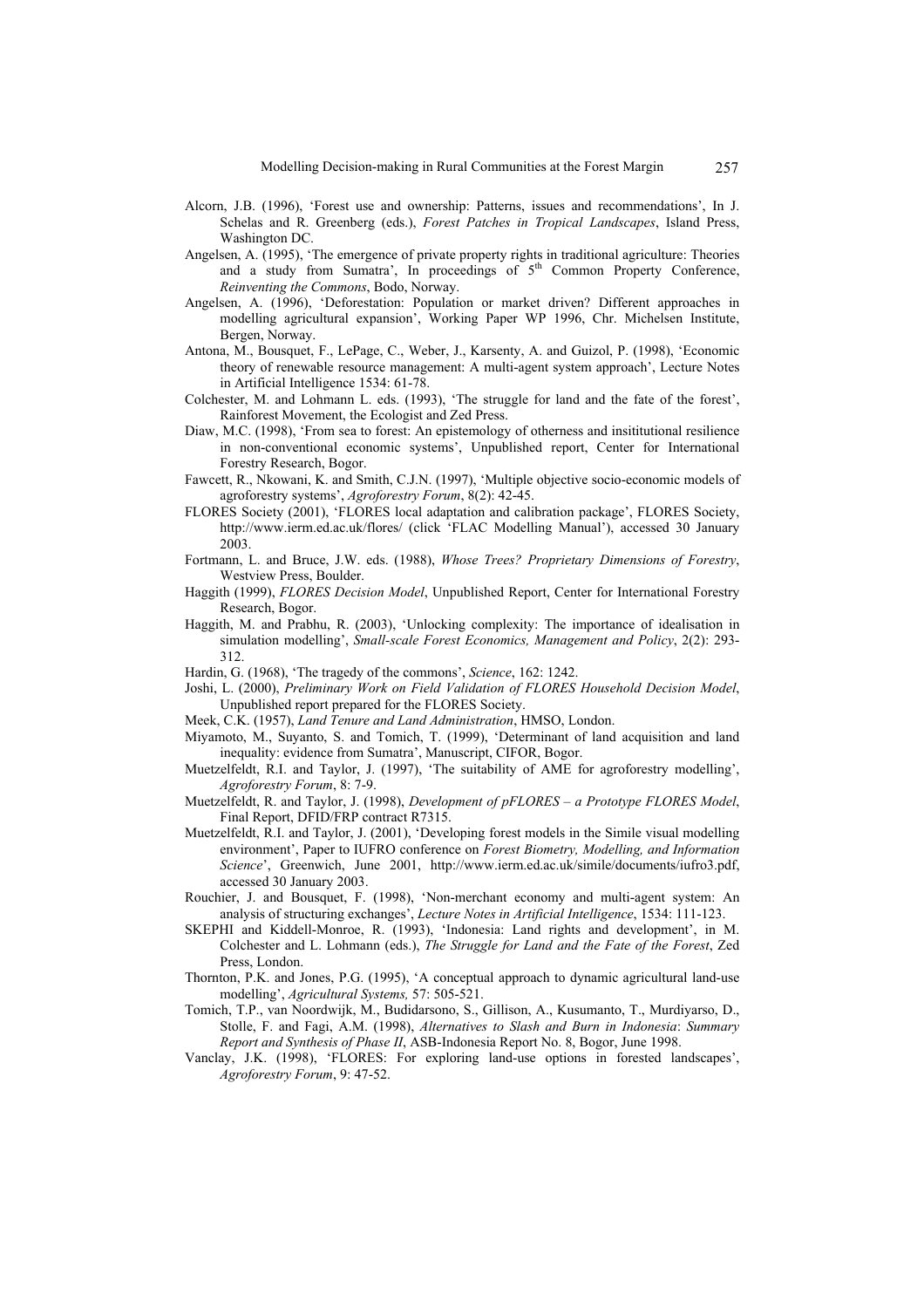- Alcorn, J.B. (1996), 'Forest use and ownership: Patterns, issues and recommendations', In J. Schelas and R. Greenberg (eds.), *Forest Patches in Tropical Landscapes*, Island Press, Washington DC.
- Angelsen, A. (1995), 'The emergence of private property rights in traditional agriculture: Theories and a study from Sumatra', In proceedings of  $5<sup>th</sup>$  Common Property Conference, *Reinventing the Commons*, Bodo, Norway.
- Angelsen, A. (1996), 'Deforestation: Population or market driven? Different approaches in modelling agricultural expansion', Working Paper WP 1996, Chr. Michelsen Institute, Bergen, Norway.
- Antona, M., Bousquet, F., LePage, C., Weber, J., Karsenty, A. and Guizol, P. (1998), 'Economic theory of renewable resource management: A multi-agent system approach', Lecture Notes in Artificial Intelligence 1534: 61-78.
- Colchester, M. and Lohmann L. eds. (1993), 'The struggle for land and the fate of the forest', Rainforest Movement, the Ecologist and Zed Press.
- Diaw, M.C. (1998), 'From sea to forest: An epistemology of otherness and insititutional resilience in non-conventional economic systems', Unpublished report, Center for International Forestry Research, Bogor.
- Fawcett, R., Nkowani, K. and Smith, C.J.N. (1997), 'Multiple objective socio-economic models of agroforestry systems', *Agroforestry Forum*, 8(2): 42-45.
- FLORES Society (2001), 'FLORES local adaptation and calibration package', FLORES Society, <http://www.ierm.ed.ac.uk/flores/> (click 'FLAC Modelling Manual'), accessed 30 January 2003.
- Fortmann, L. and Bruce, J.W. eds. (1988), *Whose Trees? Proprietary Dimensions of Forestry*, Westview Press, Boulder.
- Haggith (1999), *FLORES Decision Model*, Unpublished Report, Center for International Forestry Research, Bogor.
- Haggith, M. and Prabhu, R. (2003), 'Unlocking complexity: The importance of idealisation in simulation modelling', *Small-scale Forest Economics, Management and Policy*, 2(2): 293- 312.
- Hardin, G. (1968), 'The tragedy of the commons', *Science*, 162: 1242.
- Joshi, L. (2000), *Preliminary Work on Field Validation of FLORES Household Decision Model*, Unpublished report prepared for the FLORES Society.
- Meek, C.K. (1957), *Land Tenure and Land Administration*, HMSO, London.
- Miyamoto, M., Suyanto, S. and Tomich, T. (1999), 'Determinant of land acquisition and land inequality: evidence from Sumatra', Manuscript, CIFOR, Bogor.
- Muetzelfeldt, R.I. and Taylor, J. (1997), 'The suitability of AME for agroforestry modelling', *Agroforestry Forum*, 8: 7-9.
- Muetzelfeldt, R. and Taylor, J. (1998), *Development of pFLORES a Prototype FLORES Model*, Final Report, DFID/FRP contract R7315.
- Muetzelfeldt, R.I. and Taylor, J. (2001), 'Developing forest models in the Simile visual modelling environment', Paper to IUFRO conference on *Forest Biometry, Modelling, and Information Science*', Greenwich, June 2001, <http://www.ierm.ed.ac.uk/simile/documents/iufro3.pdf>, accessed 30 January 2003.
- Rouchier, J. and Bousquet, F. (1998), 'Non-merchant economy and multi-agent system: An analysis of structuring exchanges', *Lecture Notes in Artificial Intelligence*, 1534: 111-123.
- SKEPHI and Kiddell-Monroe, R. (1993), 'Indonesia: Land rights and development', in M. Colchester and L. Lohmann (eds.), *The Struggle for Land and the Fate of the Forest*, Zed Press, London.
- Thornton, P.K. and Jones, P.G. (1995), 'A conceptual approach to dynamic agricultural land-use modelling', *Agricultural Systems,* 57: 505-521.
- Tomich, T.P., van Noordwijk, M., Budidarsono, S., Gillison, A., Kusumanto, T., Murdiyarso, D., Stolle, F. and Fagi, A.M. (1998), *Alternatives to Slash and Burn in Indonesia*: *Summary Report and Synthesis of Phase II*, ASB-Indonesia Report No. 8, Bogor, June 1998.
- Vanclay, J.K. (1998), 'FLORES: For exploring land-use options in forested landscapes', *Agroforestry Forum*, 9: 47-52.